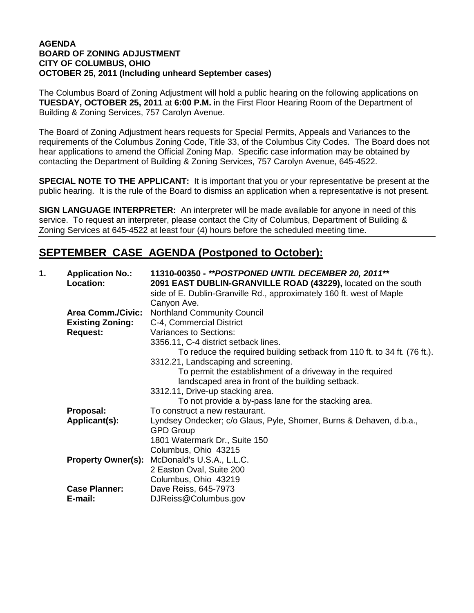## **AGENDA BOARD OF ZONING ADJUSTMENT CITY OF COLUMBUS, OHIO OCTOBER 25, 2011 (Including unheard September cases)**

The Columbus Board of Zoning Adjustment will hold a public hearing on the following applications on **TUESDAY, OCTOBER 25, 2011** at **6:00 P.M.** in the First Floor Hearing Room of the Department of Building & Zoning Services, 757 Carolyn Avenue.

The Board of Zoning Adjustment hears requests for Special Permits, Appeals and Variances to the requirements of the Columbus Zoning Code, Title 33, of the Columbus City Codes. The Board does not hear applications to amend the Official Zoning Map. Specific case information may be obtained by contacting the Department of Building & Zoning Services, 757 Carolyn Avenue, 645-4522.

**SPECIAL NOTE TO THE APPLICANT:** It is important that you or your representative be present at the public hearing. It is the rule of the Board to dismiss an application when a representative is not present.

**SIGN LANGUAGE INTERPRETER:** An interpreter will be made available for anyone in need of this service. To request an interpreter, please contact the City of Columbus, Department of Building & Zoning Services at 645-4522 at least four (4) hours before the scheduled meeting time.

## **SEPTEMBER CASE AGENDA (Postponed to October):**

| 1. | <b>Application No.:</b><br>Location: | 11310-00350 - **POSTPONED UNTIL DECEMBER 20, 2011**<br>2091 EAST DUBLIN-GRANVILLE ROAD (43229), located on the south<br>side of E. Dublin-Granville Rd., approximately 160 ft. west of Maple |
|----|--------------------------------------|----------------------------------------------------------------------------------------------------------------------------------------------------------------------------------------------|
|    |                                      | Canyon Ave.                                                                                                                                                                                  |
|    | <b>Area Comm./Civic:</b>             | <b>Northland Community Council</b>                                                                                                                                                           |
|    | <b>Existing Zoning:</b>              | C-4, Commercial District                                                                                                                                                                     |
|    | <b>Request:</b>                      | Variances to Sections:                                                                                                                                                                       |
|    |                                      | 3356.11, C-4 district setback lines.                                                                                                                                                         |
|    |                                      | To reduce the required building setback from 110 ft. to 34 ft. (76 ft.).                                                                                                                     |
|    |                                      | 3312.21, Landscaping and screening.                                                                                                                                                          |
|    |                                      | To permit the establishment of a driveway in the required                                                                                                                                    |
|    |                                      | landscaped area in front of the building setback.                                                                                                                                            |
|    |                                      | 3312.11, Drive-up stacking area.                                                                                                                                                             |
|    |                                      | To not provide a by-pass lane for the stacking area.                                                                                                                                         |
|    | Proposal:                            | To construct a new restaurant.                                                                                                                                                               |
|    | Applicant(s):                        | Lyndsey Ondecker; c/o Glaus, Pyle, Shomer, Burns & Dehaven, d.b.a.,                                                                                                                          |
|    |                                      | <b>GPD Group</b>                                                                                                                                                                             |
|    |                                      | 1801 Watermark Dr., Suite 150                                                                                                                                                                |
|    |                                      | Columbus, Ohio 43215                                                                                                                                                                         |
|    | <b>Property Owner(s):</b>            | McDonald's U.S.A., L.L.C.                                                                                                                                                                    |
|    |                                      | 2 Easton Oval, Suite 200                                                                                                                                                                     |
|    |                                      | Columbus, Ohio 43219                                                                                                                                                                         |
|    | <b>Case Planner:</b>                 | Dave Reiss, 645-7973                                                                                                                                                                         |
|    | E-mail:                              | DJReiss@Columbus.gov                                                                                                                                                                         |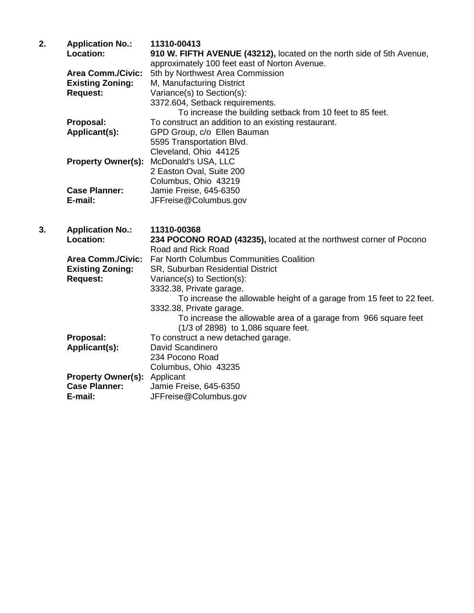| 2. | <b>Application No.:</b>  | 11310-00413                                                           |
|----|--------------------------|-----------------------------------------------------------------------|
|    | Location:                | 910 W. FIFTH AVENUE (43212), located on the north side of 5th Avenue, |
|    |                          | approximately 100 feet east of Norton Avenue.                         |
|    | <b>Area Comm./Civic:</b> | 5th by Northwest Area Commission                                      |
|    | <b>Existing Zoning:</b>  | M, Manufacturing District                                             |
|    | <b>Request:</b>          | Variance(s) to Section(s):                                            |
|    |                          | 3372.604, Setback requirements.                                       |
|    |                          | To increase the building setback from 10 feet to 85 feet.             |
|    | Proposal:                | To construct an addition to an existing restaurant.                   |
|    | Applicant(s):            | GPD Group, c/o Ellen Bauman                                           |
|    |                          | 5595 Transportation Blvd.                                             |
|    |                          | Cleveland, Ohio 44125                                                 |
|    |                          | <b>Property Owner(s): McDonald's USA, LLC</b>                         |
|    |                          | 2 Easton Oval, Suite 200                                              |
|    |                          | Columbus, Ohio 43219                                                  |
|    | <b>Case Planner:</b>     | Jamie Freise, 645-6350                                                |
|    | E-mail:                  | JFFreise@Columbus.gov                                                 |
|    |                          |                                                                       |

**3. Application No.: 11310-00368 Location: 234 POCONO ROAD (43235),** located at the northwest corner of Pocono Road and Rick Road Area Comm./Civic: Far North Columbus Communities Coalition<br>**Existing Zoning:** SR, Suburban Residential District **SR, Suburban Residential District Request:** Variance(s) to Section(s): 3332.38, Private garage. To increase the allowable height of a garage from 15 feet to 22 feet. 3332.38, Private garage. To increase the allowable area of a garage from 966 square feet (1/3 of 2898) to 1,086 square feet. **Proposal:** To construct a new detached garage. **Applicant(s):** David Scandinero 234 Pocono Road Columbus, Ohio 43235 **Property Owner(s):** Applicant **Case Planner:** Jamie Freise, 645-6350<br> **E-mail:** JFFreise@Columbus.go **E-mail:** JFFreise@Columbus.gov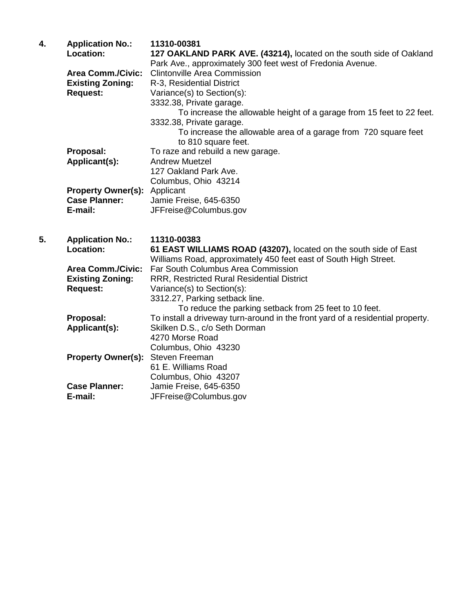| 4. | <b>Application No.:</b><br><b>Location:</b> | 11310-00381<br>127 OAKLAND PARK AVE. (43214), located on the south side of Oakland<br>Park Ave., approximately 300 feet west of Fredonia Avenue. |
|----|---------------------------------------------|--------------------------------------------------------------------------------------------------------------------------------------------------|
|    | <b>Area Comm./Civic:</b>                    | <b>Clintonville Area Commission</b>                                                                                                              |
|    | <b>Existing Zoning:</b>                     | R-3, Residential District                                                                                                                        |
|    | <b>Request:</b>                             | Variance(s) to Section(s):                                                                                                                       |
|    |                                             | 3332.38, Private garage.                                                                                                                         |
|    |                                             | To increase the allowable height of a garage from 15 feet to 22 feet.                                                                            |
|    |                                             | 3332.38, Private garage.                                                                                                                         |
|    |                                             | To increase the allowable area of a garage from 720 square feet<br>to 810 square feet.                                                           |
|    | Proposal:                                   | To raze and rebuild a new garage.                                                                                                                |
|    | Applicant(s):                               | <b>Andrew Muetzel</b>                                                                                                                            |
|    |                                             | 127 Oakland Park Ave.                                                                                                                            |
|    |                                             | Columbus, Ohio 43214                                                                                                                             |
|    | <b>Property Owner(s):</b>                   | Applicant                                                                                                                                        |
|    | <b>Case Planner:</b>                        | Jamie Freise, 645-6350                                                                                                                           |
|    | E-mail:                                     | JFFreise@Columbus.gov                                                                                                                            |
|    |                                             |                                                                                                                                                  |
| 5. | <b>Application No.:</b>                     | 11310-00383                                                                                                                                      |
|    | Location:                                   | 61 EAST WILLIAMS ROAD (43207), located on the south side of East                                                                                 |
|    |                                             | Williams Road, approximately 450 feet east of South High Street.                                                                                 |
|    | <b>Area Comm./Civic:</b>                    | Far South Columbus Area Commission                                                                                                               |
|    | <b>Existing Zoning:</b>                     | RRR, Restricted Rural Residential District                                                                                                       |
|    | <b>Request:</b>                             | Variance(s) to Section(s):                                                                                                                       |
|    |                                             | 3312.27, Parking setback line.                                                                                                                   |
|    |                                             | To reduce the parking setback from 25 feet to 10 feet.                                                                                           |
|    | Proposal:                                   | To install a driveway turn-around in the front yard of a residential property.                                                                   |
|    | Applicant(s):                               | Skilken D.S., c/o Seth Dorman                                                                                                                    |

4270 Morse Road Columbus, Ohio 43230

61 E. Williams Road

**E-mail:** JFFreise@Columbus.gov

**Property Owner(s):** Steven Freeman

Columbus, Ohio 43207<br>Case Planner: Jamie Freise, 645-6350 Case Planner: Jamie Freise, 645-6350<br>**E-mail:** JFFreise@Columbus.go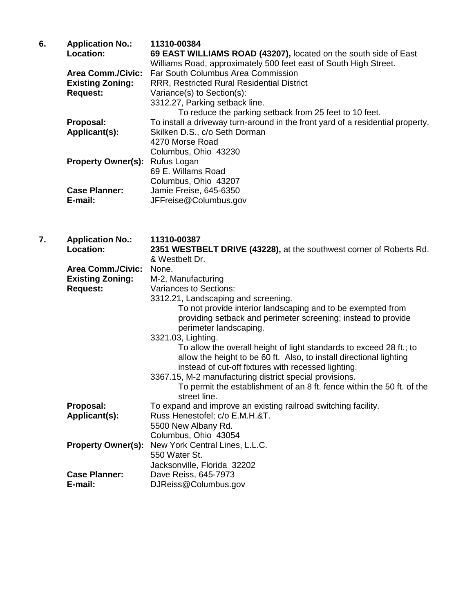| 6. | <b>Application No.:</b>   | 11310-00384                                                                    |
|----|---------------------------|--------------------------------------------------------------------------------|
|    | <b>Location:</b>          | 69 EAST WILLIAMS ROAD (43207), located on the south side of East               |
|    |                           | Williams Road, approximately 500 feet east of South High Street.               |
|    | <b>Area Comm./Civic:</b>  | Far South Columbus Area Commission                                             |
|    | <b>Existing Zoning:</b>   | <b>RRR, Restricted Rural Residential District</b>                              |
|    | <b>Request:</b>           | Variance(s) to Section(s):                                                     |
|    |                           | 3312.27, Parking setback line.                                                 |
|    |                           | To reduce the parking setback from 25 feet to 10 feet.                         |
|    | Proposal:                 | To install a driveway turn-around in the front yard of a residential property. |
|    | Applicant(s):             | Skilken D.S., c/o Seth Dorman                                                  |
|    |                           | 4270 Morse Road                                                                |
|    |                           | Columbus, Ohio 43230                                                           |
|    | <b>Property Owner(s):</b> | Rufus Logan                                                                    |
|    |                           | 69 E. Willams Road                                                             |
|    |                           | Columbus, Ohio 43207                                                           |
|    | <b>Case Planner:</b>      | Jamie Freise, 645-6350                                                         |
|    | E-mail:                   | JFFreise@Columbus.gov                                                          |

**7. Application No.: 11310-00387 Location: 2351 WESTBELT DRIVE (43228),** at the southwest corner of Roberts Rd. & Westbelt Dr.  **Area Comm./Civic:** None.  **Existing Zoning:** M-2, Manufacturing **Request:** Variances to Sections: 3312.21, Landscaping and screening. To not provide interior landscaping and to be exempted from providing setback and perimeter screening; instead to provide perimeter landscaping. 3321.03, Lighting. To allow the overall height of light standards to exceed 28 ft.; to allow the height to be 60 ft. Also, to install directional lighting instead of cut-off fixtures with recessed lighting. 3367.15, M-2 manufacturing district special provisions. To permit the establishment of an 8 ft. fence within the 50 ft. of the street line. **Proposal:** To expand and improve an existing railroad switching facility.  **Applicant(s):** Russ Henestofel; c/o E.M.H.&T. 5500 New Albany Rd. Columbus, Ohio 43054 **Property Owner(s):** New York Central Lines, L.L.C. 550 Water St. Jacksonville, Florida 32202 **Case Planner:** Dave Reiss, 645-7973 **E-mail:** DJReiss@Columbus.gov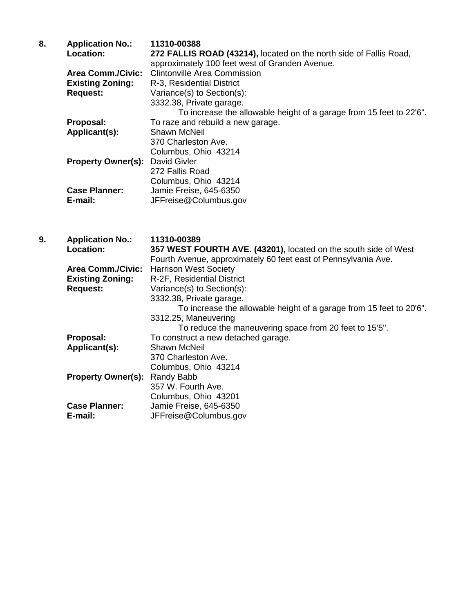| 8. | <b>Application No.:</b>   | 11310-00388                                                         |
|----|---------------------------|---------------------------------------------------------------------|
|    | Location:                 | 272 FALLIS ROAD (43214), located on the north side of Fallis Road,  |
|    |                           | approximately 100 feet west of Granden Avenue.                      |
|    | <b>Area Comm./Civic:</b>  | <b>Clintonville Area Commission</b>                                 |
|    | <b>Existing Zoning:</b>   | R-3, Residential District                                           |
|    | <b>Request:</b>           | Variance(s) to Section(s):                                          |
|    |                           | 3332.38, Private garage.                                            |
|    |                           | To increase the allowable height of a garage from 15 feet to 22'6". |
|    | Proposal:                 | To raze and rebuild a new garage.                                   |
|    | Applicant(s):             | <b>Shawn McNeil</b>                                                 |
|    |                           | 370 Charleston Ave.                                                 |
|    |                           | Columbus, Ohio 43214                                                |
|    | <b>Property Owner(s):</b> | David Givler                                                        |
|    |                           | 272 Fallis Road                                                     |
|    |                           | Columbus, Ohio 43214                                                |
|    | <b>Case Planner:</b>      | Jamie Freise, 645-6350                                              |
|    | E-mail:                   | JFFreise@Columbus.gov                                               |

| 9. | <b>Application No.:</b>   | 11310-00389                                                         |
|----|---------------------------|---------------------------------------------------------------------|
|    | Location:                 | 357 WEST FOURTH AVE. (43201), located on the south side of West     |
|    |                           | Fourth Avenue, approximately 60 feet east of Pennsylvania Ave.      |
|    | <b>Area Comm./Civic:</b>  | <b>Harrison West Society</b>                                        |
|    | <b>Existing Zoning:</b>   | R-2F, Residential District                                          |
|    | <b>Request:</b>           | Variance(s) to Section(s):                                          |
|    |                           | 3332.38, Private garage.                                            |
|    |                           | To increase the allowable height of a garage from 15 feet to 20'6". |
|    |                           | 3312.25, Maneuvering                                                |
|    |                           | To reduce the maneuvering space from 20 feet to 15'5".              |
|    | Proposal:                 | To construct a new detached garage.                                 |
|    | Applicant(s):             | <b>Shawn McNeil</b>                                                 |
|    |                           | 370 Charleston Ave.                                                 |
|    |                           | Columbus, Ohio 43214                                                |
|    | <b>Property Owner(s):</b> | Randy Babb                                                          |
|    |                           | 357 W. Fourth Ave.                                                  |
|    |                           | Columbus, Ohio 43201                                                |
|    | <b>Case Planner:</b>      | Jamie Freise, 645-6350                                              |
|    | E-mail:                   | JFFreise@Columbus.gov                                               |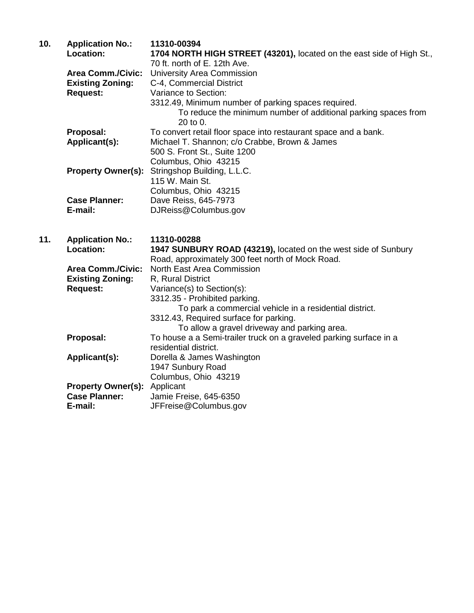| 10. | <b>Application No.:</b>   | 11310-00394                                                           |
|-----|---------------------------|-----------------------------------------------------------------------|
|     | <b>Location:</b>          | 1704 NORTH HIGH STREET (43201), located on the east side of High St., |
|     |                           | 70 ft. north of E. 12th Ave.                                          |
|     | <b>Area Comm./Civic:</b>  | <b>University Area Commission</b>                                     |
|     | <b>Existing Zoning:</b>   | C-4, Commercial District                                              |
|     | <b>Request:</b>           | Variance to Section:                                                  |
|     |                           | 3312.49, Minimum number of parking spaces required.                   |
|     |                           | To reduce the minimum number of additional parking spaces from        |
|     |                           | $20$ to 0.                                                            |
|     | Proposal:                 | To convert retail floor space into restaurant space and a bank.       |
|     | Applicant(s):             | Michael T. Shannon; c/o Crabbe, Brown & James                         |
|     |                           | 500 S. Front St., Suite 1200                                          |
|     |                           | Columbus, Ohio 43215                                                  |
|     | <b>Property Owner(s):</b> | Stringshop Building, L.L.C.                                           |
|     |                           | 115 W. Main St.                                                       |
|     |                           | Columbus, Ohio 43215                                                  |
|     | <b>Case Planner:</b>      | Dave Reiss, 645-7973                                                  |
|     | E-mail:                   | DJReiss@Columbus.gov                                                  |
|     |                           |                                                                       |

**11. Application No.: 11310-00288** 1947 SUNBURY ROAD (43219), located on the west side of Sunbury Road, approximately 300 feet north of Mock Road.  **Area Comm./Civic:** North East Area Commission **Existing Zoning:** R, Rural District **Request:** Variance(s) to Section(s): 3312.35 - Prohibited parking. To park a commercial vehicle in a residential district. 3312.43, Required surface for parking. To allow a gravel driveway and parking area. **Proposal:** To house a a Semi-trailer truck on a graveled parking surface in a residential district. **Applicant(s):** Dorella & James Washington 1947 Sunbury Road Columbus, Ohio 43219 **Property Owner(s):** Applicant **Case Planner:** Jamie Fre  **Case Planner:** Jamie Freise, 645-6350 **E-mail:** JFFreise@Columbus.gov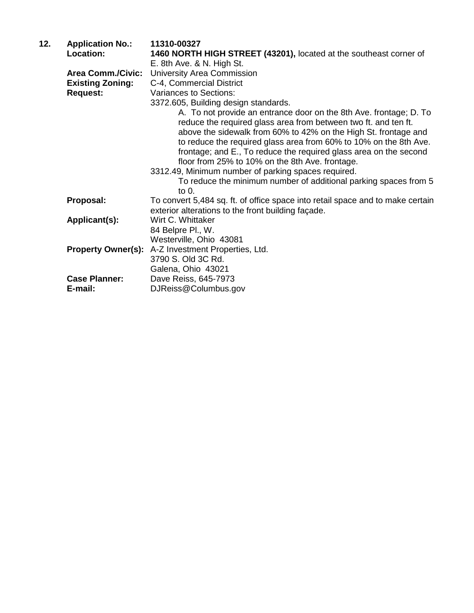| <b>Application No.:</b>   | 11310-00327                                                                                                                                                                                                                                                  |
|---------------------------|--------------------------------------------------------------------------------------------------------------------------------------------------------------------------------------------------------------------------------------------------------------|
| <b>Location:</b>          | 1460 NORTH HIGH STREET (43201), located at the southeast corner of                                                                                                                                                                                           |
|                           | E. 8th Ave. & N. High St.                                                                                                                                                                                                                                    |
| <b>Area Comm./Civic:</b>  | University Area Commission                                                                                                                                                                                                                                   |
| <b>Existing Zoning:</b>   | C-4, Commercial District                                                                                                                                                                                                                                     |
| <b>Request:</b>           | <b>Variances to Sections:</b>                                                                                                                                                                                                                                |
|                           | 3372.605, Building design standards.                                                                                                                                                                                                                         |
|                           | A. To not provide an entrance door on the 8th Ave. frontage; D. To<br>reduce the required glass area from between two ft. and ten ft.                                                                                                                        |
|                           | above the sidewalk from 60% to 42% on the High St. frontage and<br>to reduce the required glass area from 60% to 10% on the 8th Ave.<br>frontage; and E., To reduce the required glass area on the second<br>floor from 25% to 10% on the 8th Ave. frontage. |
|                           | 3312.49, Minimum number of parking spaces required.                                                                                                                                                                                                          |
|                           | To reduce the minimum number of additional parking spaces from 5<br>to $0.$                                                                                                                                                                                  |
| Proposal:                 | To convert 5,484 sq. ft. of office space into retail space and to make certain<br>exterior alterations to the front building façade.                                                                                                                         |
| Applicant(s):             | Wirt C. Whittaker                                                                                                                                                                                                                                            |
|                           | 84 Belpre Pl., W.                                                                                                                                                                                                                                            |
|                           | Westerville, Ohio 43081                                                                                                                                                                                                                                      |
| <b>Property Owner(s):</b> | A-Z Investment Properties, Ltd.<br>3790 S. Old 3C Rd.<br>Galena, Ohio 43021                                                                                                                                                                                  |
|                           | Dave Reiss, 645-7973                                                                                                                                                                                                                                         |
| E-mail:                   | DJReiss@Columbus.gov                                                                                                                                                                                                                                         |
|                           | <b>Case Planner:</b>                                                                                                                                                                                                                                         |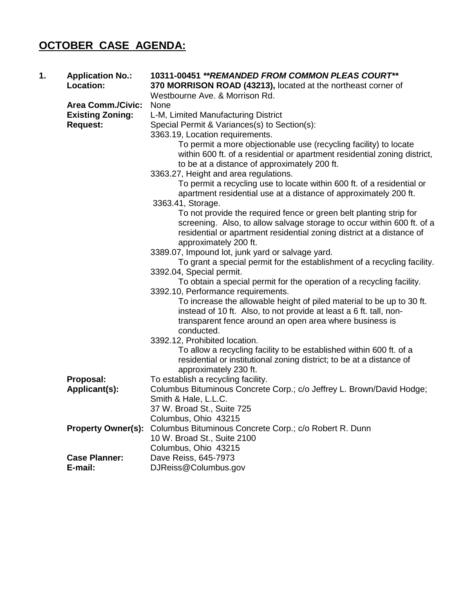## **OCTOBER CASE AGENDA:**

| 1. | <b>Application No.:</b><br>Location: | 10311-00451 ** REMANDED FROM COMMON PLEAS COURT**<br>370 MORRISON ROAD (43213), located at the northeast corner of<br>Westbourne Ave. & Morrison Rd.                                                                                           |
|----|--------------------------------------|------------------------------------------------------------------------------------------------------------------------------------------------------------------------------------------------------------------------------------------------|
|    | <b>Area Comm./Civic:</b>             | <b>None</b>                                                                                                                                                                                                                                    |
|    | <b>Existing Zoning:</b>              | L-M, Limited Manufacturing District                                                                                                                                                                                                            |
|    | <b>Request:</b>                      | Special Permit & Variances(s) to Section(s):                                                                                                                                                                                                   |
|    |                                      | 3363.19, Location requirements.                                                                                                                                                                                                                |
|    |                                      | To permit a more objectionable use (recycling facility) to locate<br>within 600 ft. of a residential or apartment residential zoning district,<br>to be at a distance of approximately 200 ft.                                                 |
|    |                                      | 3363.27, Height and area regulations.                                                                                                                                                                                                          |
|    |                                      | To permit a recycling use to locate within 600 ft. of a residential or<br>apartment residential use at a distance of approximately 200 ft.                                                                                                     |
|    |                                      | 3363.41, Storage.                                                                                                                                                                                                                              |
|    |                                      | To not provide the required fence or green belt planting strip for<br>screening. Also, to allow salvage storage to occur within 600 ft. of a<br>residential or apartment residential zoning district at a distance of<br>approximately 200 ft. |
|    |                                      | 3389.07, Impound lot, junk yard or salvage yard.                                                                                                                                                                                               |
|    |                                      | To grant a special permit for the establishment of a recycling facility.                                                                                                                                                                       |
|    |                                      | 3392.04, Special permit.                                                                                                                                                                                                                       |
|    |                                      | To obtain a special permit for the operation of a recycling facility.                                                                                                                                                                          |
|    |                                      | 3392.10, Performance requirements.                                                                                                                                                                                                             |
|    |                                      | To increase the allowable height of piled material to be up to 30 ft.<br>instead of 10 ft. Also, to not provide at least a 6 ft. tall, non-                                                                                                    |
|    |                                      | transparent fence around an open area where business is                                                                                                                                                                                        |
|    |                                      | conducted.                                                                                                                                                                                                                                     |
|    |                                      | 3392.12, Prohibited location.<br>To allow a recycling facility to be established within 600 ft. of a                                                                                                                                           |
|    |                                      | residential or institutional zoning district; to be at a distance of<br>approximately 230 ft.                                                                                                                                                  |
|    | Proposal:                            | To establish a recycling facility.                                                                                                                                                                                                             |
|    | Applicant(s):                        | Columbus Bituminous Concrete Corp.; c/o Jeffrey L. Brown/David Hodge;                                                                                                                                                                          |
|    |                                      | Smith & Hale, L.L.C.                                                                                                                                                                                                                           |
|    |                                      | 37 W. Broad St., Suite 725                                                                                                                                                                                                                     |
|    |                                      | Columbus, Ohio 43215                                                                                                                                                                                                                           |
|    | <b>Property Owner(s):</b>            | Columbus Bituminous Concrete Corp.; c/o Robert R. Dunn                                                                                                                                                                                         |
|    |                                      | 10 W. Broad St., Suite 2100                                                                                                                                                                                                                    |
|    |                                      | Columbus, Ohio 43215                                                                                                                                                                                                                           |
|    | <b>Case Planner:</b>                 | Dave Reiss, 645-7973                                                                                                                                                                                                                           |
|    | E-mail:                              | DJReiss@Columbus.gov                                                                                                                                                                                                                           |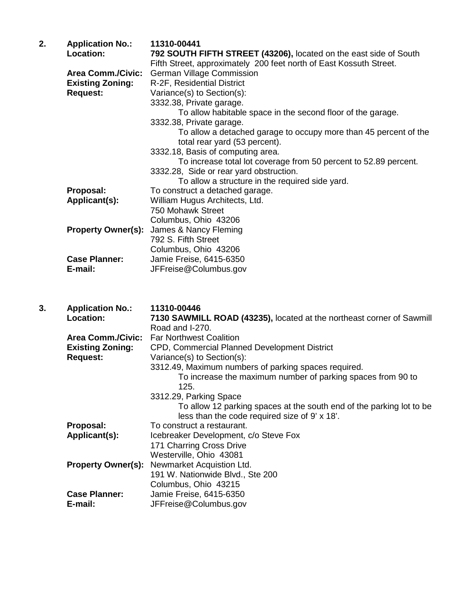| 2. | <b>Application No.:</b>   | 11310-00441                                                        |
|----|---------------------------|--------------------------------------------------------------------|
|    | Location:                 | 792 SOUTH FIFTH STREET (43206), located on the east side of South  |
|    |                           | Fifth Street, approximately 200 feet north of East Kossuth Street. |
|    | <b>Area Comm./Civic:</b>  | <b>German Village Commission</b>                                   |
|    | <b>Existing Zoning:</b>   | R-2F, Residential District                                         |
|    | <b>Request:</b>           | Variance(s) to Section(s):                                         |
|    |                           | 3332.38, Private garage.                                           |
|    |                           | To allow habitable space in the second floor of the garage.        |
|    |                           | 3332.38, Private garage.                                           |
|    |                           | To allow a detached garage to occupy more than 45 percent of the   |
|    |                           | total rear yard (53 percent).                                      |
|    |                           | 3332.18, Basis of computing area.                                  |
|    |                           | To increase total lot coverage from 50 percent to 52.89 percent.   |
|    |                           | 3332.28, Side or rear yard obstruction.                            |
|    |                           | To allow a structure in the required side yard.                    |
|    | Proposal:                 | To construct a detached garage.                                    |
|    | Applicant(s):             | William Hugus Architects, Ltd.                                     |
|    |                           | 750 Mohawk Street                                                  |
|    |                           | Columbus, Ohio 43206                                               |
|    | <b>Property Owner(s):</b> | James & Nancy Fleming                                              |
|    |                           | 792 S. Fifth Street                                                |
|    |                           | Columbus, Ohio 43206                                               |
|    | <b>Case Planner:</b>      | Jamie Freise, 6415-6350                                            |
|    | E-mail:                   | JFFreise@Columbus.gov                                              |
|    |                           |                                                                    |

| 3. | <b>Application No.:</b>   | 11310-00446                                                           |
|----|---------------------------|-----------------------------------------------------------------------|
|    | <b>Location:</b>          | 7130 SAWMILL ROAD (43235), located at the northeast corner of Sawmill |
|    |                           | Road and I-270.                                                       |
|    | <b>Area Comm./Civic:</b>  | <b>Far Northwest Coalition</b>                                        |
|    | <b>Existing Zoning:</b>   | CPD, Commercial Planned Development District                          |
|    | <b>Request:</b>           | Variance(s) to Section(s):                                            |
|    |                           | 3312.49, Maximum numbers of parking spaces required.                  |
|    |                           | To increase the maximum number of parking spaces from 90 to           |
|    |                           | 125.                                                                  |
|    |                           | 3312.29, Parking Space                                                |
|    |                           | To allow 12 parking spaces at the south end of the parking lot to be  |
|    |                           | less than the code required size of 9' x 18'.                         |
|    | Proposal:                 | To construct a restaurant.                                            |
|    | Applicant(s):             | Icebreaker Development, c/o Steve Fox                                 |
|    |                           | 171 Charring Cross Drive                                              |
|    |                           | Westerville, Ohio 43081                                               |
|    | <b>Property Owner(s):</b> | Newmarket Acquistion Ltd.                                             |
|    |                           | 191 W. Nationwide Blvd., Ste 200                                      |
|    |                           | Columbus, Ohio 43215                                                  |
|    | <b>Case Planner:</b>      | Jamie Freise, 6415-6350                                               |
|    | E-mail:                   | JFFreise@Columbus.gov                                                 |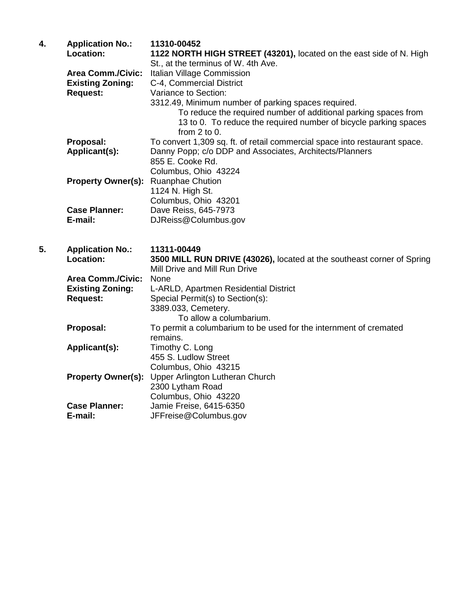| St., at the terminus of W. 4th Ave.<br><b>Area Comm./Civic:</b><br>Italian Village Commission<br><b>Existing Zoning:</b><br>C-4, Commercial District<br><b>Request:</b><br>Variance to Section:<br>3312.49, Minimum number of parking spaces required.<br>To reduce the required number of additional parking spaces from<br>13 to 0. To reduce the required number of bicycle parking spaces<br>from $2$ to $0$ .<br>Proposal:<br>To convert 1,309 sq. ft. of retail commercial space into restaurant space.<br>Applicant(s):<br>Danny Popp; c/o DDP and Associates, Architects/Planners<br>855 E. Cooke Rd.<br>Columbus, Ohio 43224<br>Property Owner(s): Ruanphae Chution<br>1124 N. High St.<br>Columbus, Ohio 43201<br>Dave Reiss, 645-7973<br><b>Case Planner:</b><br>E-mail:<br>DJReiss@Columbus.gov<br>5.<br><b>Application No.:</b><br>11311-00449<br>Location:<br>3500 MILL RUN DRIVE (43026), located at the southeast corner of Spring<br>Mill Drive and Mill Run Drive<br>Area Comm./Civic:<br>None<br><b>Existing Zoning:</b><br>L-ARLD, Apartmen Residential District<br><b>Request:</b><br>Special Permit(s) to Section(s):<br>3389.033, Cemetery.<br>To allow a columbarium.<br>Proposal:<br>To permit a columbarium to be used for the internment of cremated<br>remains.<br>Timothy C. Long<br>Applicant(s):<br>455 S. Ludlow Street |                      |
|---------------------------------------------------------------------------------------------------------------------------------------------------------------------------------------------------------------------------------------------------------------------------------------------------------------------------------------------------------------------------------------------------------------------------------------------------------------------------------------------------------------------------------------------------------------------------------------------------------------------------------------------------------------------------------------------------------------------------------------------------------------------------------------------------------------------------------------------------------------------------------------------------------------------------------------------------------------------------------------------------------------------------------------------------------------------------------------------------------------------------------------------------------------------------------------------------------------------------------------------------------------------------------------------------------------------------------------------------------|----------------------|
|                                                                                                                                                                                                                                                                                                                                                                                                                                                                                                                                                                                                                                                                                                                                                                                                                                                                                                                                                                                                                                                                                                                                                                                                                                                                                                                                                         |                      |
|                                                                                                                                                                                                                                                                                                                                                                                                                                                                                                                                                                                                                                                                                                                                                                                                                                                                                                                                                                                                                                                                                                                                                                                                                                                                                                                                                         |                      |
|                                                                                                                                                                                                                                                                                                                                                                                                                                                                                                                                                                                                                                                                                                                                                                                                                                                                                                                                                                                                                                                                                                                                                                                                                                                                                                                                                         |                      |
|                                                                                                                                                                                                                                                                                                                                                                                                                                                                                                                                                                                                                                                                                                                                                                                                                                                                                                                                                                                                                                                                                                                                                                                                                                                                                                                                                         |                      |
|                                                                                                                                                                                                                                                                                                                                                                                                                                                                                                                                                                                                                                                                                                                                                                                                                                                                                                                                                                                                                                                                                                                                                                                                                                                                                                                                                         |                      |
|                                                                                                                                                                                                                                                                                                                                                                                                                                                                                                                                                                                                                                                                                                                                                                                                                                                                                                                                                                                                                                                                                                                                                                                                                                                                                                                                                         |                      |
|                                                                                                                                                                                                                                                                                                                                                                                                                                                                                                                                                                                                                                                                                                                                                                                                                                                                                                                                                                                                                                                                                                                                                                                                                                                                                                                                                         |                      |
|                                                                                                                                                                                                                                                                                                                                                                                                                                                                                                                                                                                                                                                                                                                                                                                                                                                                                                                                                                                                                                                                                                                                                                                                                                                                                                                                                         |                      |
|                                                                                                                                                                                                                                                                                                                                                                                                                                                                                                                                                                                                                                                                                                                                                                                                                                                                                                                                                                                                                                                                                                                                                                                                                                                                                                                                                         |                      |
|                                                                                                                                                                                                                                                                                                                                                                                                                                                                                                                                                                                                                                                                                                                                                                                                                                                                                                                                                                                                                                                                                                                                                                                                                                                                                                                                                         |                      |
|                                                                                                                                                                                                                                                                                                                                                                                                                                                                                                                                                                                                                                                                                                                                                                                                                                                                                                                                                                                                                                                                                                                                                                                                                                                                                                                                                         |                      |
|                                                                                                                                                                                                                                                                                                                                                                                                                                                                                                                                                                                                                                                                                                                                                                                                                                                                                                                                                                                                                                                                                                                                                                                                                                                                                                                                                         |                      |
|                                                                                                                                                                                                                                                                                                                                                                                                                                                                                                                                                                                                                                                                                                                                                                                                                                                                                                                                                                                                                                                                                                                                                                                                                                                                                                                                                         |                      |
|                                                                                                                                                                                                                                                                                                                                                                                                                                                                                                                                                                                                                                                                                                                                                                                                                                                                                                                                                                                                                                                                                                                                                                                                                                                                                                                                                         |                      |
|                                                                                                                                                                                                                                                                                                                                                                                                                                                                                                                                                                                                                                                                                                                                                                                                                                                                                                                                                                                                                                                                                                                                                                                                                                                                                                                                                         |                      |
|                                                                                                                                                                                                                                                                                                                                                                                                                                                                                                                                                                                                                                                                                                                                                                                                                                                                                                                                                                                                                                                                                                                                                                                                                                                                                                                                                         |                      |
|                                                                                                                                                                                                                                                                                                                                                                                                                                                                                                                                                                                                                                                                                                                                                                                                                                                                                                                                                                                                                                                                                                                                                                                                                                                                                                                                                         |                      |
|                                                                                                                                                                                                                                                                                                                                                                                                                                                                                                                                                                                                                                                                                                                                                                                                                                                                                                                                                                                                                                                                                                                                                                                                                                                                                                                                                         |                      |
|                                                                                                                                                                                                                                                                                                                                                                                                                                                                                                                                                                                                                                                                                                                                                                                                                                                                                                                                                                                                                                                                                                                                                                                                                                                                                                                                                         |                      |
|                                                                                                                                                                                                                                                                                                                                                                                                                                                                                                                                                                                                                                                                                                                                                                                                                                                                                                                                                                                                                                                                                                                                                                                                                                                                                                                                                         |                      |
|                                                                                                                                                                                                                                                                                                                                                                                                                                                                                                                                                                                                                                                                                                                                                                                                                                                                                                                                                                                                                                                                                                                                                                                                                                                                                                                                                         |                      |
|                                                                                                                                                                                                                                                                                                                                                                                                                                                                                                                                                                                                                                                                                                                                                                                                                                                                                                                                                                                                                                                                                                                                                                                                                                                                                                                                                         |                      |
|                                                                                                                                                                                                                                                                                                                                                                                                                                                                                                                                                                                                                                                                                                                                                                                                                                                                                                                                                                                                                                                                                                                                                                                                                                                                                                                                                         |                      |
|                                                                                                                                                                                                                                                                                                                                                                                                                                                                                                                                                                                                                                                                                                                                                                                                                                                                                                                                                                                                                                                                                                                                                                                                                                                                                                                                                         |                      |
|                                                                                                                                                                                                                                                                                                                                                                                                                                                                                                                                                                                                                                                                                                                                                                                                                                                                                                                                                                                                                                                                                                                                                                                                                                                                                                                                                         |                      |
|                                                                                                                                                                                                                                                                                                                                                                                                                                                                                                                                                                                                                                                                                                                                                                                                                                                                                                                                                                                                                                                                                                                                                                                                                                                                                                                                                         |                      |
|                                                                                                                                                                                                                                                                                                                                                                                                                                                                                                                                                                                                                                                                                                                                                                                                                                                                                                                                                                                                                                                                                                                                                                                                                                                                                                                                                         |                      |
| Columbus, Ohio 43215                                                                                                                                                                                                                                                                                                                                                                                                                                                                                                                                                                                                                                                                                                                                                                                                                                                                                                                                                                                                                                                                                                                                                                                                                                                                                                                                    |                      |
| <b>Property Owner(s):</b><br>Upper Arlington Lutheran Church                                                                                                                                                                                                                                                                                                                                                                                                                                                                                                                                                                                                                                                                                                                                                                                                                                                                                                                                                                                                                                                                                                                                                                                                                                                                                            |                      |
| 2300 Lytham Road                                                                                                                                                                                                                                                                                                                                                                                                                                                                                                                                                                                                                                                                                                                                                                                                                                                                                                                                                                                                                                                                                                                                                                                                                                                                                                                                        |                      |
|                                                                                                                                                                                                                                                                                                                                                                                                                                                                                                                                                                                                                                                                                                                                                                                                                                                                                                                                                                                                                                                                                                                                                                                                                                                                                                                                                         |                      |
|                                                                                                                                                                                                                                                                                                                                                                                                                                                                                                                                                                                                                                                                                                                                                                                                                                                                                                                                                                                                                                                                                                                                                                                                                                                                                                                                                         | Columbus, Ohio 43220 |
| <b>Case Planner:</b><br>Jamie Freise, 6415-6350                                                                                                                                                                                                                                                                                                                                                                                                                                                                                                                                                                                                                                                                                                                                                                                                                                                                                                                                                                                                                                                                                                                                                                                                                                                                                                         |                      |
|                                                                                                                                                                                                                                                                                                                                                                                                                                                                                                                                                                                                                                                                                                                                                                                                                                                                                                                                                                                                                                                                                                                                                                                                                                                                                                                                                         |                      |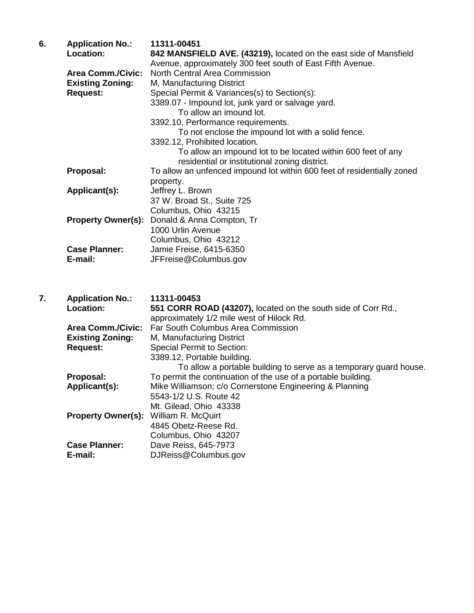| 6. | <b>Application No.:</b><br><b>Location:</b><br><b>Area Comm./Civic:</b><br><b>Existing Zoning:</b><br><b>Request:</b> | 11311-00451<br>842 MANSFIELD AVE. (43219), located on the east side of Mansfield<br>Avenue, approximately 300 feet south of East Fifth Avenue.<br><b>North Central Area Commission</b><br>M, Manufacturing District<br>Special Permit & Variances(s) to Section(s):<br>3389.07 - Impound lot, junk yard or salvage yard.<br>To allow an imound lot.<br>3392.10, Performance requirements.<br>To not enclose the impound lot with a solid fence.<br>3392.12, Prohibited location.<br>To allow an impound lot to be located within 600 feet of any |
|----|-----------------------------------------------------------------------------------------------------------------------|--------------------------------------------------------------------------------------------------------------------------------------------------------------------------------------------------------------------------------------------------------------------------------------------------------------------------------------------------------------------------------------------------------------------------------------------------------------------------------------------------------------------------------------------------|
|    | Proposal:                                                                                                             | residential or institutional zoning district.<br>To allow an unfenced impound lot within 600 feet of residentially zoned                                                                                                                                                                                                                                                                                                                                                                                                                         |
|    | Applicant(s):                                                                                                         | property.<br>Jeffrey L. Brown<br>37 W. Broad St., Suite 725<br>Columbus, Ohio 43215                                                                                                                                                                                                                                                                                                                                                                                                                                                              |
|    | <b>Property Owner(s):</b>                                                                                             | Donald & Anna Compton, Tr<br>1000 Urlin Avenue<br>Columbus, Ohio 43212                                                                                                                                                                                                                                                                                                                                                                                                                                                                           |
|    | <b>Case Planner:</b><br>E-mail:                                                                                       | Jamie Freise, 6415-6350<br>JFFreise@Columbus.gov                                                                                                                                                                                                                                                                                                                                                                                                                                                                                                 |
| 7. | <b>Application No.:</b><br><b>Location:</b>                                                                           | 11311-00453<br>551 CORR ROAD (43207), located on the south side of Corr Rd.,<br>approximately 1/2 mile west of Hilock Rd.                                                                                                                                                                                                                                                                                                                                                                                                                        |
|    | <b>Area Comm./Civic:</b><br><b>Existing Zoning:</b><br><b>Request:</b>                                                | Far South Columbus Area Commission<br>M, Manufacturing District<br><b>Special Permit to Section:</b><br>3389.12, Portable building.<br>To allow a portable building to serve as a temporary guard house.                                                                                                                                                                                                                                                                                                                                         |
|    | Proposal:<br>Applicant(s):                                                                                            | To permit the continuation of the use of a portable building.<br>Mike Williamson; c/o Cornerstone Engineering & Planning<br>5543-1/2 U.S. Route 42<br>Mt. Gilead, Ohio 43338                                                                                                                                                                                                                                                                                                                                                                     |
|    | <b>Property Owner(s):</b>                                                                                             | William R. McQuirt<br>4845 Obetz-Reese Rd.<br>Columbus, Ohio 43207                                                                                                                                                                                                                                                                                                                                                                                                                                                                               |
|    | <b>Case Planner:</b><br>E-mail:                                                                                       | Dave Reiss, 645-7973<br>DJReiss@Columbus.gov                                                                                                                                                                                                                                                                                                                                                                                                                                                                                                     |